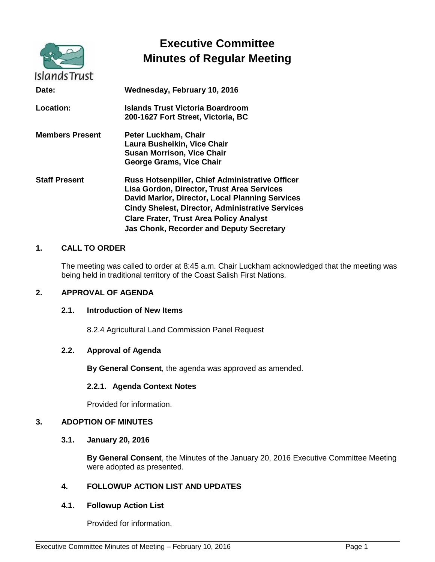|                        | <b>Executive Committee</b><br><b>Minutes of Regular Meeting</b>                                                                                                                                                                                                                                                  |
|------------------------|------------------------------------------------------------------------------------------------------------------------------------------------------------------------------------------------------------------------------------------------------------------------------------------------------------------|
| <b>Islands Trust</b>   |                                                                                                                                                                                                                                                                                                                  |
| Date:                  | Wednesday, February 10, 2016                                                                                                                                                                                                                                                                                     |
| <b>Location:</b>       | Islands Trust Victoria Boardroom<br>200-1627 Fort Street, Victoria, BC                                                                                                                                                                                                                                           |
| <b>Members Present</b> | Peter Luckham, Chair<br>Laura Busheikin, Vice Chair<br><b>Susan Morrison, Vice Chair</b><br>George Grams, Vice Chair                                                                                                                                                                                             |
| <b>Staff Present</b>   | Russ Hotsenpiller, Chief Administrative Officer<br>Lisa Gordon, Director, Trust Area Services<br>David Marlor, Director, Local Planning Services<br><b>Cindy Shelest, Director, Administrative Services</b><br><b>Clare Frater, Trust Area Policy Analyst</b><br><b>Jas Chonk, Recorder and Deputy Secretary</b> |

#### **1. CALL TO ORDER**

The meeting was called to order at 8:45 a.m. Chair Luckham acknowledged that the meeting was being held in traditional territory of the Coast Salish First Nations.

#### **2. APPROVAL OF AGENDA**

#### **2.1. Introduction of New Items**

8.2.4 Agricultural Land Commission Panel Request

#### **2.2. Approval of Agenda**

**By General Consent**, the agenda was approved as amended.

#### **2.2.1. Agenda Context Notes**

Provided for information.

#### **3. ADOPTION OF MINUTES**

**3.1. January 20, 2016**

**By General Consent**, the Minutes of the January 20, 2016 Executive Committee Meeting were adopted as presented.

#### **4. FOLLOWUP ACTION LIST AND UPDATES**

#### **4.1. Followup Action List**

Provided for information.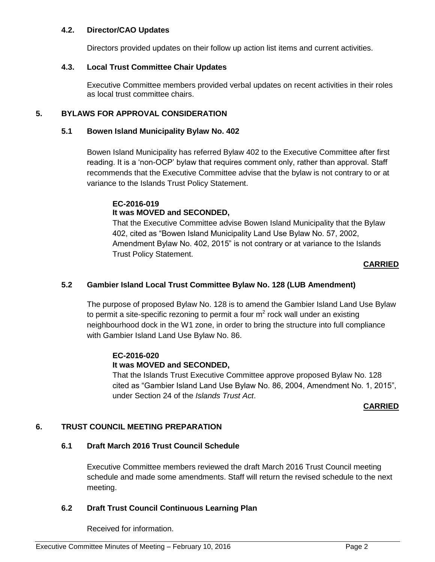#### **4.2. Director/CAO Updates**

Directors provided updates on their follow up action list items and current activities.

#### **4.3. Local Trust Committee Chair Updates**

Executive Committee members provided verbal updates on recent activities in their roles as local trust committee chairs.

## **5. BYLAWS FOR APPROVAL CONSIDERATION**

## **5.1 Bowen Island Municipality Bylaw No. 402**

Bowen Island Municipality has referred Bylaw 402 to the Executive Committee after first reading. It is a 'non-OCP' bylaw that requires comment only, rather than approval. Staff recommends that the Executive Committee advise that the bylaw is not contrary to or at variance to the Islands Trust Policy Statement.

## **EC-2016-019 It was MOVED and SECONDED,**

That the Executive Committee advise Bowen Island Municipality that the Bylaw 402, cited as "Bowen Island Municipality Land Use Bylaw No. 57, 2002, Amendment Bylaw No. 402, 2015" is not contrary or at variance to the Islands Trust Policy Statement.

## **CARRIED**

## **5.2 Gambier Island Local Trust Committee Bylaw No. 128 (LUB Amendment)**

The purpose of proposed Bylaw No. 128 is to amend the Gambier Island Land Use Bylaw to permit a site-specific rezoning to permit a four  $m^2$  rock wall under an existing neighbourhood dock in the W1 zone, in order to bring the structure into full compliance with Gambier Island Land Use Bylaw No. 86.

## **EC-2016-020**

## **It was MOVED and SECONDED,**

That the Islands Trust Executive Committee approve proposed Bylaw No. 128 cited as "Gambier Island Land Use Bylaw No. 86, 2004, Amendment No. 1, 2015", under Section 24 of the *Islands Trust Act*.

## **CARRIED**

## **6. TRUST COUNCIL MEETING PREPARATION**

## **6.1 Draft March 2016 Trust Council Schedule**

Executive Committee members reviewed the draft March 2016 Trust Council meeting schedule and made some amendments. Staff will return the revised schedule to the next meeting.

## **6.2 Draft Trust Council Continuous Learning Plan**

Received for information.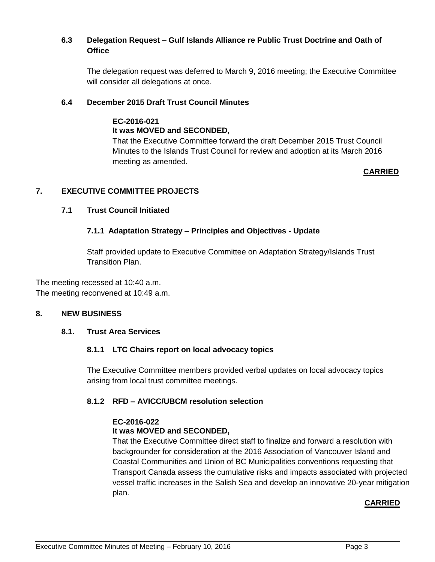## **6.3 Delegation Request – Gulf Islands Alliance re Public Trust Doctrine and Oath of Office**

The delegation request was deferred to March 9, 2016 meeting; the Executive Committee will consider all delegations at once.

#### **6.4 December 2015 Draft Trust Council Minutes**

#### **EC-2016-021 It was MOVED and SECONDED,**

That the Executive Committee forward the draft December 2015 Trust Council Minutes to the Islands Trust Council for review and adoption at its March 2016 meeting as amended.

## **CARRIED**

## **7. EXECUTIVE COMMITTEE PROJECTS**

#### **7.1 Trust Council Initiated**

## **7.1.1 Adaptation Strategy – Principles and Objectives - Update**

Staff provided update to Executive Committee on Adaptation Strategy/Islands Trust Transition Plan.

The meeting recessed at 10:40 a.m. The meeting reconvened at 10:49 a.m.

#### **8. NEW BUSINESS**

#### **8.1. Trust Area Services**

#### **8.1.1 LTC Chairs report on local advocacy topics**

The Executive Committee members provided verbal updates on local advocacy topics arising from local trust committee meetings.

#### **8.1.2 RFD – AVICC/UBCM resolution selection**

#### **EC-2016-022 It was MOVED and SECONDED,**

That the Executive Committee direct staff to finalize and forward a resolution with backgrounder for consideration at the 2016 Association of Vancouver Island and Coastal Communities and Union of BC Municipalities conventions requesting that Transport Canada assess the cumulative risks and impacts associated with projected vessel traffic increases in the Salish Sea and develop an innovative 20-year mitigation plan.

## **CARRIED**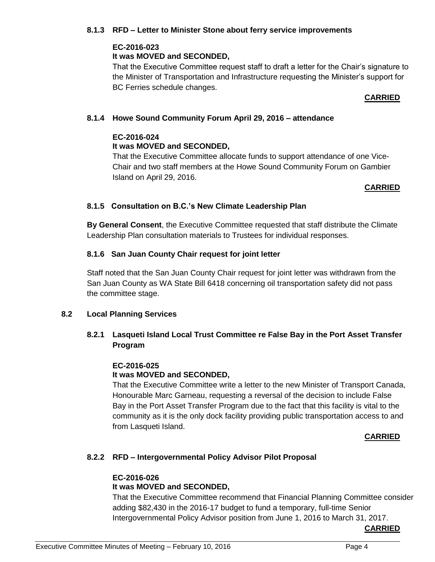#### **8.1.3 RFD – Letter to Minister Stone about ferry service improvements**

## **EC-2016-023**

## **It was MOVED and SECONDED,**

That the Executive Committee request staff to draft a letter for the Chair's signature to the Minister of Transportation and Infrastructure requesting the Minister's support for BC Ferries schedule changes.

#### **CARRIED**

# **8.1.4 Howe Sound Community Forum April 29, 2016 – attendance**

# **EC-2016-024**

## **It was MOVED and SECONDED,**

That the Executive Committee allocate funds to support attendance of one Vice-Chair and two staff members at the Howe Sound Community Forum on Gambier Island on April 29, 2016.

# **CARRIED**

## **8.1.5 Consultation on B.C.'s New Climate Leadership Plan**

**By General Consent**, the Executive Committee requested that staff distribute the Climate Leadership Plan consultation materials to Trustees for individual responses.

## **8.1.6 San Juan County Chair request for joint letter**

Staff noted that the San Juan County Chair request for joint letter was withdrawn from the San Juan County as WA State Bill 6418 concerning oil transportation safety did not pass the committee stage.

## **8.2 Local Planning Services**

# **8.2.1 Lasqueti Island Local Trust Committee re False Bay in the Port Asset Transfer Program**

## **EC-2016-025**

# **It was MOVED and SECONDED,**

That the Executive Committee write a letter to the new Minister of Transport Canada, Honourable Marc Garneau, requesting a reversal of the decision to include False Bay in the Port Asset Transfer Program due to the fact that this facility is vital to the community as it is the only dock facility providing public transportation access to and from Lasqueti Island.

## **CARRIED**

## **8.2.2 RFD – Intergovernmental Policy Advisor Pilot Proposal**

## **EC-2016-026**

# **It was MOVED and SECONDED,**

That the Executive Committee recommend that Financial Planning Committee consider adding \$82,430 in the 2016-17 budget to fund a temporary, full-time Senior Intergovernmental Policy Advisor position from June 1, 2016 to March 31, 2017.

**CARRIED**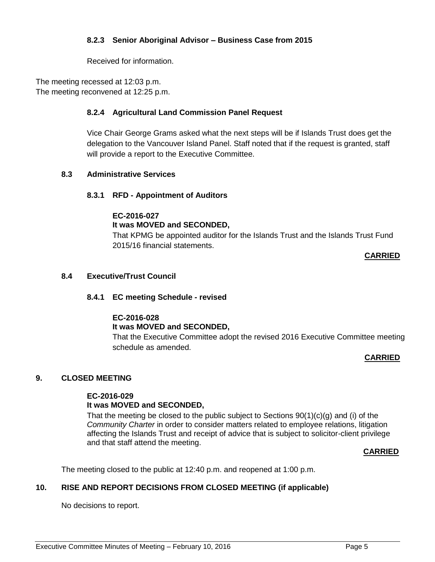## **8.2.3 Senior Aboriginal Advisor – Business Case from 2015**

Received for information.

The meeting recessed at 12:03 p.m. The meeting reconvened at 12:25 p.m.

#### **8.2.4 Agricultural Land Commission Panel Request**

Vice Chair George Grams asked what the next steps will be if Islands Trust does get the delegation to the Vancouver Island Panel. Staff noted that if the request is granted, staff will provide a report to the Executive Committee.

#### **8.3 Administrative Services**

#### **8.3.1 RFD - Appointment of Auditors**

#### **EC-2016-027**

## **It was MOVED and SECONDED,**

That KPMG be appointed auditor for the Islands Trust and the Islands Trust Fund 2015/16 financial statements.

**CARRIED**

#### **8.4 Executive/Trust Council**

## **8.4.1 EC meeting Schedule - revised**

## **EC-2016-028**

## **It was MOVED and SECONDED,**

That the Executive Committee adopt the revised 2016 Executive Committee meeting schedule as amended.

#### **CARRIED**

## **9. CLOSED MEETING**

#### **EC-2016-029 It was MOVED and SECONDED,**

That the meeting be closed to the public subject to Sections  $90(1)(c)(q)$  and (i) of the *Community Charter* in order to consider matters related to employee relations, litigation affecting the Islands Trust and receipt of advice that is subject to solicitor-client privilege and that staff attend the meeting.

#### **CARRIED**

The meeting closed to the public at 12:40 p.m. and reopened at 1:00 p.m.

## **10. RISE AND REPORT DECISIONS FROM CLOSED MEETING (if applicable)**

No decisions to report.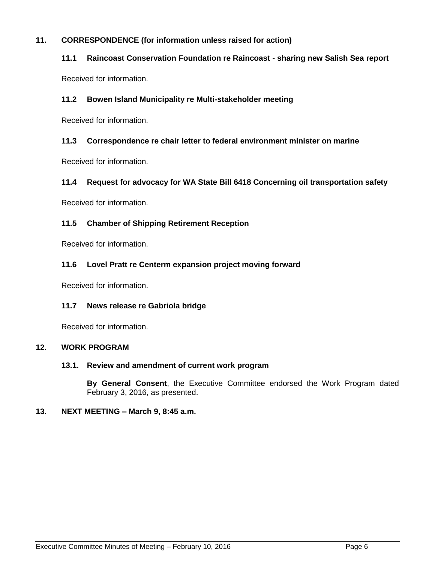#### **11. CORRESPONDENCE (for information unless raised for action)**

#### **11.1 Raincoast Conservation Foundation re Raincoast - sharing new Salish Sea report**

Received for information.

#### **11.2 Bowen Island Municipality re Multi-stakeholder meeting**

Received for information.

#### **11.3 Correspondence re chair letter to federal environment minister on marine**

Received for information.

#### **11.4 Request for advocacy for WA State Bill 6418 Concerning oil transportation safety**

Received for information.

#### **11.5 Chamber of Shipping Retirement Reception**

Received for information.

#### **11.6 Lovel Pratt re Centerm expansion project moving forward**

Received for information.

#### **11.7 News release re Gabriola bridge**

Received for information.

#### **12. WORK PROGRAM**

#### **13.1. Review and amendment of current work program**

**By General Consent**, the Executive Committee endorsed the Work Program dated February 3, 2016, as presented.

#### **13. NEXT MEETING – March 9, 8:45 a.m.**